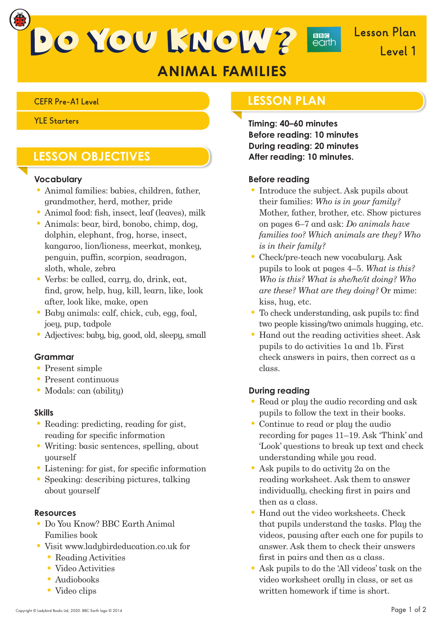DO YOU KNOW?

**Lesson Plan Level 1**

# **ANIMAL FAMILIES**

### **YLE Starters**

## **LESSON OBJECTIVES**

### **Vocabulary**

- Animal families: babies, children, father, grandmother, herd, mother, pride
- $\bullet$  Animal food: fish, insect, leaf (leaves), milk
- Animals: bear, bird, bonobo, chimp, dog, dolphin, elephant, frog, horse, insect, kangaroo, lion/lioness, meerkat, monkey, penguin, puffin, scorpion, seadragon, sloth, whale, zebra
- Verbs: be called, carry, do, drink, eat, nd, grow, help, hug, kill, learn, like, look after, look like, make, open
- Baby animals: calf, chick, cub, egg, foal, joey, pup, tadpole
- Adjectives: baby, big, good, old, sleepy, small

### **Grammar**

- Present simple
- Present continuous
- Modals: can (ability)

#### **Skills**

- Reading: predicting, reading for gist, reading for specific information
- Writing: basic sentences, spelling, about yourself
- $\bullet$  Listening: for gist, for specific information
- Speaking: describing pictures, talking about yourself

### **Resources**

- Do You Know? BBC Earth Animal Families book
- Visit www.ladybirdeducation.co.uk for • Reading Activities
	- Video Activities
	- Audiobooks
	- Video clips

### **CEFR Pre-A1 Level LESSON PLAN**

**Timing: 40–60 minutes Before reading: 10 minutes During reading: 20 minutes After reading: 10 minutes.**

**BBG**<br>earth

### **Before reading**

- Introduce the subject. Ask pupils about their families: *Who is in your family?* Mother, father, brother, etc. Show pictures on pages 6–7 and ask: *Do animals have families too? Which animals are they? Who is in their family?*
- Check/pre-teach new vocabulary. Ask pupils to look at pages 4–5. *What is this? Who is this? What is she/he/it doing? Who are these? What are they doing?* Or mime: kiss, hug, etc.
- $\bullet$  To check understanding, ask pupils to: find two people kissing/two animals hugging, etc.
- Hand out the reading activities sheet. Ask pupils to do activities 1a and 1b. First check answers in pairs, then correct as a class.

### **During reading**

- Read or play the audio recording and ask pupils to follow the text in their books.
- Continue to read or play the audio recording for pages 11–19. Ask 'Think' and 'Look' questions to break up text and check understanding while you read.
- Ask pupils to do activity 2a on the reading worksheet. Ask them to answer individually, checking first in pairs and then as a class.
- Hand out the video worksheets. Check that pupils understand the tasks. Play the videos, pausing after each one for pupils to answer. Ask them to check their answers first in pairs and then as a class.
- Ask pupils to do the 'All videos' task on the video worksheet orally in class, or set as written homework if time is short.